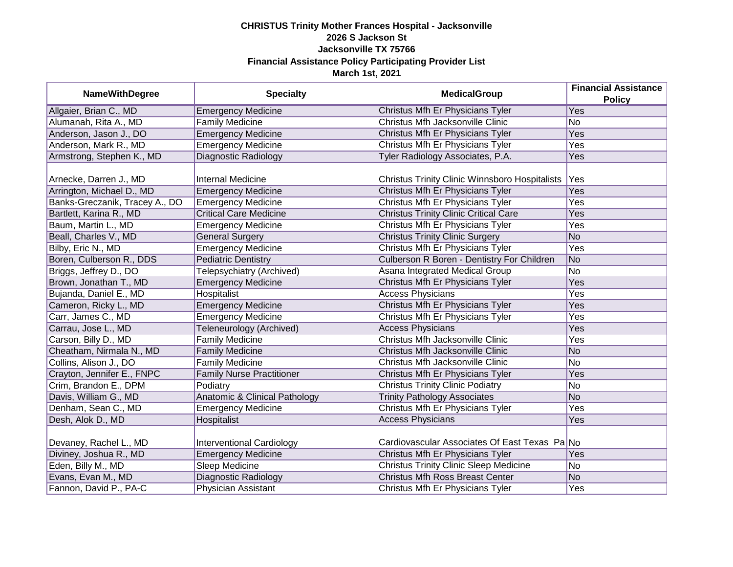| <b>NameWithDegree</b>          | <b>Specialty</b>                         | <b>MedicalGroup</b>                            | <b>Financial Assistance</b><br><b>Policy</b> |
|--------------------------------|------------------------------------------|------------------------------------------------|----------------------------------------------|
| Allgaier, Brian C., MD         | <b>Emergency Medicine</b>                | Christus Mfh Er Physicians Tyler               | <b>Yes</b>                                   |
| Alumanah, Rita A., MD          | <b>Family Medicine</b>                   | Christus Mfh Jacksonville Clinic               | No                                           |
| Anderson, Jason J., DO         | <b>Emergency Medicine</b>                | Christus Mfh Er Physicians Tyler               | Yes                                          |
| Anderson, Mark R., MD          | <b>Emergency Medicine</b>                | Christus Mfh Er Physicians Tyler               | Yes                                          |
| Armstrong, Stephen K., MD      | Diagnostic Radiology                     | Tyler Radiology Associates, P.A.               | Yes                                          |
| Arnecke, Darren J., MD         | Internal Medicine                        | Christus Trinity Clinic Winnsboro Hospitalists | Yes                                          |
| Arrington, Michael D., MD      | <b>Emergency Medicine</b>                | Christus Mfh Er Physicians Tyler               | Yes                                          |
| Banks-Greczanik, Tracey A., DO | <b>Emergency Medicine</b>                | Christus Mfh Er Physicians Tyler               | Yes                                          |
| Bartlett, Karina R., MD        | <b>Critical Care Medicine</b>            | <b>Christus Trinity Clinic Critical Care</b>   | Yes                                          |
| Baum, Martin L., MD            | <b>Emergency Medicine</b>                | Christus Mfh Er Physicians Tyler               | Yes                                          |
| Beall, Charles V., MD          | <b>General Surgery</b>                   | <b>Christus Trinity Clinic Surgery</b>         | No                                           |
| Bilby, Eric N., MD             | <b>Emergency Medicine</b>                | Christus Mfh Er Physicians Tyler               | Yes                                          |
| Boren, Culberson R., DDS       | <b>Pediatric Dentistry</b>               | Culberson R Boren - Dentistry For Children     | No                                           |
| Briggs, Jeffrey D., DO         | Telepsychiatry (Archived)                | Asana Integrated Medical Group                 | No                                           |
| Brown, Jonathan T., MD         | <b>Emergency Medicine</b>                | Christus Mfh Er Physicians Tyler               | Yes                                          |
| Bujanda, Daniel E., MD         | Hospitalist                              | <b>Access Physicians</b>                       | Yes                                          |
| Cameron, Ricky L., MD          | <b>Emergency Medicine</b>                | Christus Mfh Er Physicians Tyler               | Yes                                          |
| Carr, James C., MD             | <b>Emergency Medicine</b>                | Christus Mfh Er Physicians Tyler               | Yes                                          |
| Carrau, Jose L., MD            | Teleneurology (Archived)                 | <b>Access Physicians</b>                       | Yes                                          |
| Carson, Billy D., MD           | <b>Family Medicine</b>                   | Christus Mfh Jacksonville Clinic               | Yes                                          |
| Cheatham, Nirmala N., MD       | <b>Family Medicine</b>                   | Christus Mfh Jacksonville Clinic               | No                                           |
| Collins, Alison J., DO         | <b>Family Medicine</b>                   | Christus Mfh Jacksonville Clinic               | No                                           |
| Crayton, Jennifer E., FNPC     | <b>Family Nurse Practitioner</b>         | Christus Mfh Er Physicians Tyler               | Yes                                          |
| Crim, Brandon E., DPM          | Podiatry                                 | <b>Christus Trinity Clinic Podiatry</b>        | No                                           |
| Davis, William G., MD          | <b>Anatomic &amp; Clinical Pathology</b> | <b>Trinity Pathology Associates</b>            | No                                           |
| Denham, Sean C., MD            | <b>Emergency Medicine</b>                | Christus Mfh Er Physicians Tyler               | Yes                                          |
| Desh, Alok D., MD              | Hospitalist                              | <b>Access Physicians</b>                       | Yes                                          |
| Devaney, Rachel L., MD         | Interventional Cardiology                | Cardiovascular Associates Of East Texas Pa No  |                                              |
| Diviney, Joshua R., MD         | <b>Emergency Medicine</b>                | Christus Mfh Er Physicians Tyler               | Yes                                          |
| Eden, Billy M., MD             | <b>Sleep Medicine</b>                    | <b>Christus Trinity Clinic Sleep Medicine</b>  | No                                           |
| Evans, Evan M., MD             | Diagnostic Radiology                     | <b>Christus Mfh Ross Breast Center</b>         | No                                           |
| Fannon, David P., PA-C         | Physician Assistant                      | Christus Mfh Er Physicians Tyler               | Yes                                          |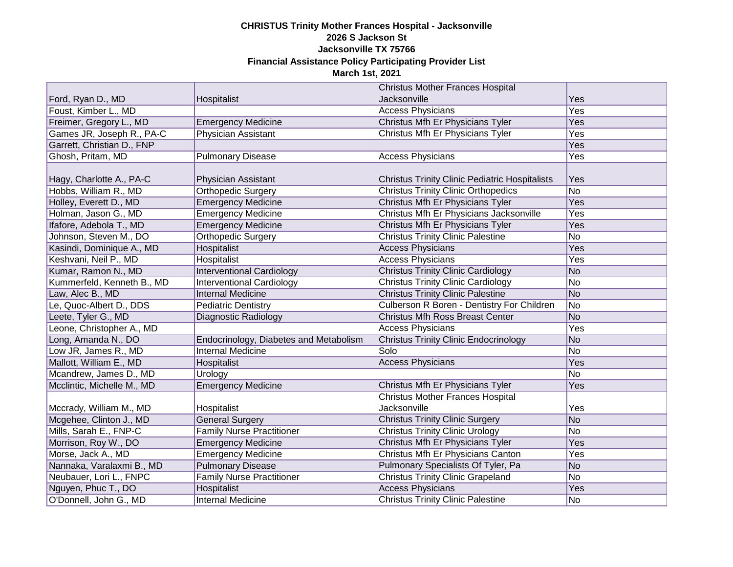|                            |                                        | <b>Christus Mother Frances Hospital</b>               |            |
|----------------------------|----------------------------------------|-------------------------------------------------------|------------|
| Ford, Ryan D., MD          | Hospitalist                            | <b>Jacksonville</b>                                   | Yes        |
| Foust, Kimber L., MD       |                                        | <b>Access Physicians</b>                              | Yes        |
| Freimer, Gregory L., MD    | <b>Emergency Medicine</b>              | Christus Mfh Er Physicians Tyler                      | Yes        |
| Games JR, Joseph R., PA-C  | Physician Assistant                    | Christus Mfh Er Physicians Tyler                      | Yes        |
| Garrett, Christian D., FNP |                                        |                                                       | <b>Yes</b> |
| Ghosh, Pritam, MD          | <b>Pulmonary Disease</b>               | <b>Access Physicians</b>                              | Yes        |
| Hagy, Charlotte A., PA-C   | Physician Assistant                    | <b>Christus Trinity Clinic Pediatric Hospitalists</b> | Yes        |
| Hobbs, William R., MD      | <b>Orthopedic Surgery</b>              | <b>Christus Trinity Clinic Orthopedics</b>            | No         |
| Holley, Everett D., MD     | <b>Emergency Medicine</b>              | Christus Mfh Er Physicians Tyler                      | Yes        |
| Holman, Jason G., MD       | <b>Emergency Medicine</b>              | Christus Mfh Er Physicians Jacksonville               | Yes        |
| Ifafore, Adebola T., MD    | <b>Emergency Medicine</b>              | Christus Mfh Er Physicians Tyler                      | Yes        |
| Johnson, Steven M., DO     | Orthopedic Surgery                     | <b>Christus Trinity Clinic Palestine</b>              | No         |
| Kasindi, Dominique A., MD  | Hospitalist                            | <b>Access Physicians</b>                              | Yes        |
| Keshvani, Neil P., MD      | Hospitalist                            | <b>Access Physicians</b>                              | Yes        |
| Kumar, Ramon N., MD        | <b>Interventional Cardiology</b>       | <b>Christus Trinity Clinic Cardiology</b>             | No         |
| Kummerfeld, Kenneth B., MD | <b>Interventional Cardiology</b>       | <b>Christus Trinity Clinic Cardiology</b>             | No         |
| Law, Alec B., MD           | <b>Internal Medicine</b>               | <b>Christus Trinity Clinic Palestine</b>              | No         |
| Le, Quoc-Albert D., DDS    | <b>Pediatric Dentistry</b>             | Culberson R Boren - Dentistry For Children            | No         |
| Leete, Tyler G., MD        | Diagnostic Radiology                   | <b>Christus Mfh Ross Breast Center</b>                | No         |
| Leone, Christopher A., MD  |                                        | <b>Access Physicians</b>                              | Yes        |
| Long, Amanda N., DO        | Endocrinology, Diabetes and Metabolism | <b>Christus Trinity Clinic Endocrinology</b>          | No         |
| Low JR, James R., MD       | <b>Internal Medicine</b>               | Solo                                                  | No         |
| Mallott, William E., MD    | Hospitalist                            | <b>Access Physicians</b>                              | Yes        |
| Mcandrew, James D., MD     | Urology                                |                                                       | No         |
| Mcclintic, Michelle M., MD | <b>Emergency Medicine</b>              | Christus Mfh Er Physicians Tyler                      | Yes        |
|                            |                                        | <b>Christus Mother Frances Hospital</b>               |            |
| Mccrady, William M., MD    | Hospitalist                            | Jacksonville                                          | Yes        |
| Mcgehee, Clinton J., MD    | <b>General Surgery</b>                 | <b>Christus Trinity Clinic Surgery</b>                | No         |
| Mills, Sarah E., FNP-C     | <b>Family Nurse Practitioner</b>       | <b>Christus Trinity Clinic Urology</b>                | No         |
| Morrison, Roy W., DO       | <b>Emergency Medicine</b>              | Christus Mfh Er Physicians Tyler                      | Yes        |
| Morse, Jack A., MD         | <b>Emergency Medicine</b>              | Christus Mfh Er Physicians Canton                     | Yes        |
| Nannaka, Varalaxmi B., MD  | <b>Pulmonary Disease</b>               | Pulmonary Specialists Of Tyler, Pa                    | No         |
| Neubauer, Lori L., FNPC    | <b>Family Nurse Practitioner</b>       | <b>Christus Trinity Clinic Grapeland</b>              | No         |
| Nguyen, Phuc T., DO        | Hospitalist                            | <b>Access Physicians</b>                              | Yes        |
| O'Donnell, John G., MD     | <b>Internal Medicine</b>               | <b>Christus Trinity Clinic Palestine</b>              | No         |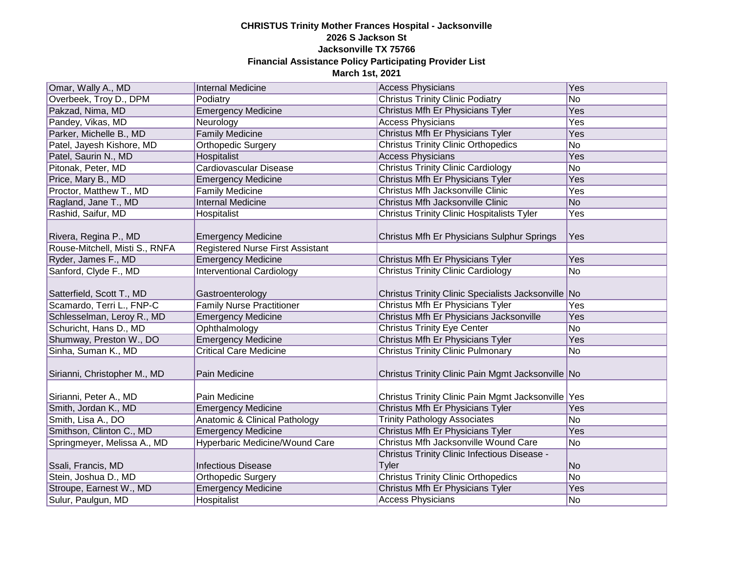| Omar, Wally A., MD                                      | <b>Internal Medicine</b>                                             | <b>Access Physicians</b>                                     | Yes            |
|---------------------------------------------------------|----------------------------------------------------------------------|--------------------------------------------------------------|----------------|
| Overbeek, Troy D., DPM                                  | Podiatry                                                             | <b>Christus Trinity Clinic Podiatry</b>                      | N <sub>o</sub> |
| Pakzad, Nima, MD                                        | <b>Emergency Medicine</b>                                            | Christus Mfh Er Physicians Tyler                             | <b>Yes</b>     |
| Pandey, Vikas, MD                                       | Neurology                                                            | <b>Access Physicians</b>                                     | <b>Yes</b>     |
| Parker, Michelle B., MD                                 | <b>Family Medicine</b>                                               | Christus Mfh Er Physicians Tyler                             | Yes            |
| Patel, Jayesh Kishore, MD                               | <b>Orthopedic Surgery</b>                                            | <b>Christus Trinity Clinic Orthopedics</b>                   | No             |
| Patel, Saurin N., MD                                    | <b>Hospitalist</b>                                                   | <b>Access Physicians</b>                                     | Yes            |
| Pitonak, Peter, MD                                      | Cardiovascular Disease                                               | <b>Christus Trinity Clinic Cardiology</b>                    | <b>No</b>      |
| Price, Mary B., MD                                      | <b>Emergency Medicine</b>                                            | Christus Mfh Er Physicians Tyler                             | Yes            |
| Proctor, Matthew T., MD                                 | Family Medicine                                                      | Christus Mfh Jacksonville Clinic                             | <b>Yes</b>     |
| Ragland, Jane T., MD                                    | Internal Medicine                                                    | Christus Mfh Jacksonville Clinic                             | N <sub>o</sub> |
| Rashid, Saifur, MD                                      | Hospitalist                                                          | <b>Christus Trinity Clinic Hospitalists Tyler</b>            | Yes            |
| Rivera, Regina P., MD<br>Rouse-Mitchell, Misti S., RNFA | <b>Emergency Medicine</b><br><b>Registered Nurse First Assistant</b> | Christus Mfh Er Physicians Sulphur Springs                   | Yes            |
| Ryder, James F., MD                                     | <b>Emergency Medicine</b>                                            | Christus Mfh Er Physicians Tyler                             | Yes            |
| Sanford, Clyde F., MD                                   | <b>Interventional Cardiology</b>                                     | <b>Christus Trinity Clinic Cardiology</b>                    | No             |
| Satterfield, Scott T., MD                               | Gastroenterology                                                     | Christus Trinity Clinic Specialists Jacksonville No          |                |
| Scamardo, Terri L., FNP-C                               | <b>Family Nurse Practitioner</b>                                     | Christus Mfh Er Physicians Tyler                             | Yes            |
| Schlesselman, Leroy R., MD                              | <b>Emergency Medicine</b>                                            | Christus Mfh Er Physicians Jacksonville                      | Yes            |
| Schuricht, Hans D., MD                                  | Ophthalmology                                                        | <b>Christus Trinity Eye Center</b>                           | No             |
| Shumway, Preston W., DO                                 | <b>Emergency Medicine</b>                                            | Christus Mfh Er Physicians Tyler                             | Yes            |
| Sinha, Suman K., MD                                     | <b>Critical Care Medicine</b>                                        | <b>Christus Trinity Clinic Pulmonary</b>                     | No             |
| Sirianni, Christopher M., MD                            | Pain Medicine                                                        | Christus Trinity Clinic Pain Mgmt Jacksonville No            |                |
| Sirianni, Peter A., MD                                  | Pain Medicine                                                        | Christus Trinity Clinic Pain Mgmt Jacksonville Yes           |                |
| Smith, Jordan K., MD                                    | <b>Emergency Medicine</b>                                            | Christus Mfh Er Physicians Tyler                             | Yes            |
| Smith, Lisa A., DO                                      | <b>Anatomic &amp; Clinical Pathology</b>                             | <b>Trinity Pathology Associates</b>                          | No             |
| Smithson, Clinton C., MD                                | <b>Emergency Medicine</b>                                            | Christus Mfh Er Physicians Tyler                             | <b>Yes</b>     |
| Springmeyer, Melissa A., MD                             | Hyperbaric Medicine/Wound Care                                       | Christus Mfh Jacksonville Wound Care                         | No             |
| Ssali, Francis, MD                                      | <b>Infectious Disease</b>                                            | Christus Trinity Clinic Infectious Disease -<br><b>Tyler</b> | N <sub>o</sub> |
| Stein, Joshua D., MD                                    | <b>Orthopedic Surgery</b>                                            | <b>Christus Trinity Clinic Orthopedics</b>                   | N <sub>o</sub> |
| Stroupe, Earnest W., MD                                 | <b>Emergency Medicine</b>                                            | Christus Mfh Er Physicians Tyler                             | Yes            |
| Sulur, Paulgun, MD                                      | Hospitalist                                                          | <b>Access Physicians</b>                                     | No             |